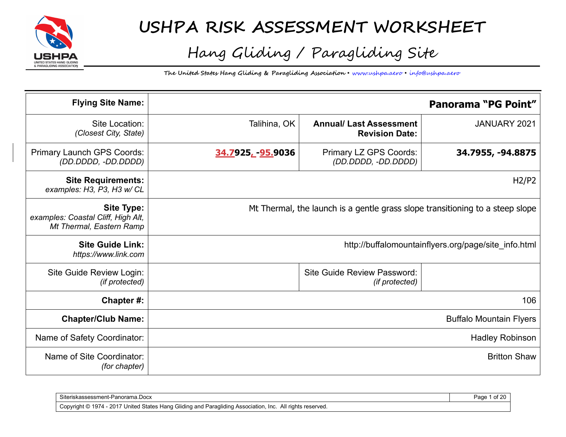

# **USHPA RISK ASSESSMENT WORKSHEET**

# Hang Gliding / Paragliding Site

**The United States Hang Gliding & Paragliding Association** • www.ushpa.aero • info@ushpa.aero

| <b>Flying Site Name:</b>                                                            |                                                                               |                                                         | <b>Panorama "PG Point"</b>                           |
|-------------------------------------------------------------------------------------|-------------------------------------------------------------------------------|---------------------------------------------------------|------------------------------------------------------|
| Site Location:<br>(Closest City, State)                                             | Talihina, OK                                                                  | <b>Annual/ Last Assessment</b><br><b>Revision Date:</b> | JANUARY 2021                                         |
| Primary Launch GPS Coords:<br>(DD.DDDD, -DD.DDDD)                                   | 34.7925 <sub>L</sub> -95.9036                                                 | Primary LZ GPS Coords:<br>(DD.DDDD, -DD.DDDD)           | 34.7955, -94.8875                                    |
| <b>Site Requirements:</b><br>examples: H3, P3, H3 w/ CL                             |                                                                               |                                                         | H2/P2                                                |
| <b>Site Type:</b><br>examples: Coastal Cliff, High Alt,<br>Mt Thermal, Eastern Ramp | Mt Thermal, the launch is a gentle grass slope transitioning to a steep slope |                                                         |                                                      |
| <b>Site Guide Link:</b><br>https://www.link.com                                     |                                                                               |                                                         | http://buffalomountainflyers.org/page/site_info.html |
| Site Guide Review Login:<br>(if protected)                                          |                                                                               | Site Guide Review Password:<br>(if protected)           |                                                      |
| Chapter#:                                                                           |                                                                               |                                                         | 106                                                  |
| <b>Chapter/Club Name:</b>                                                           | <b>Buffalo Mountain Flyers</b>                                                |                                                         |                                                      |
| Name of Safety Coordinator:                                                         | <b>Hadley Robinson</b>                                                        |                                                         |                                                      |
| Name of Site Coordinator:<br>(for chapter)                                          |                                                                               |                                                         | <b>Britton Shaw</b>                                  |

| Siteriskassessment-Panorama.Docx                                                                                                                              | Page |
|---------------------------------------------------------------------------------------------------------------------------------------------------------------|------|
| 7 United States Hang Gliding and Paragliding Association, .<br>$(4 - 2017)^{11}$<br>1974 -<br>All rights reserved.<br>- Inc.<br>Copyright ©<br>$\cdot$<br>. . |      |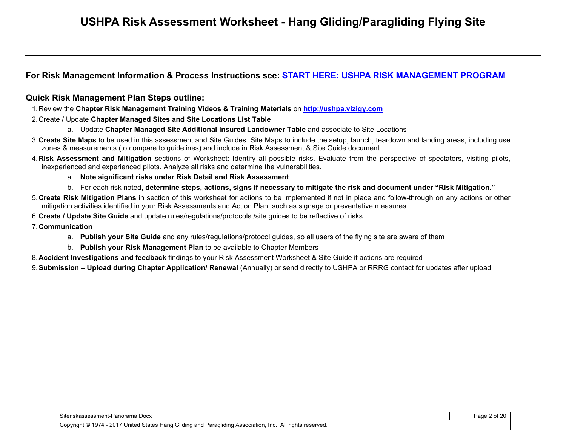#### **For Risk Management Information & Process Instructions see: START HERE: USHPA RISK MANAGEMENT PROGRAM**

#### **Quick Risk Management Plan Steps outline:**

- 1. Review the **Chapter Risk Management Training Videos & Training Materials** on **http://ushpa.vizigy.com**
- 2. Create / Update **Chapter Managed Sites and Site Locations List Table**
	- a. Update **Chapter Managed Site Additional Insured Landowner Table** and associate to Site Locations
- 3. **Create Site Maps** to be used in this assessment and Site Guides. Site Maps to include the setup, launch, teardown and landing areas, including use zones & measurements (to compare to guidelines) and include in Risk Assessment & Site Guide document.
- 4. **Risk Assessment and Mitigation** sections of Worksheet: Identify all possible risks. Evaluate from the perspective of spectators, visiting pilots, inexperienced and experienced pilots. Analyze all risks and determine the vulnerabilities.
	- a. **Note significant risks under Risk Detail and Risk Assessment**.
	- b. For each risk noted, **determine steps, actions, signs if necessary to mitigate the risk and document under "Risk Mitigation."**
- 5. **Create Risk Mitigation Plans** in section of this worksheet for actions to be implemented if not in place and follow-through on any actions or other mitigation activities identified in your Risk Assessments and Action Plan, such as signage or preventative measures.
- 6. **Create / Update Site Guide** and update rules/regulations/protocols /site guides to be reflective of risks.
- 7. **Communication**
	- a. **Publish your Site Guide** and any rules/regulations/protocol guides, so all users of the flying site are aware of them
	- b. **Publish your Risk Management Plan** to be available to Chapter Members
- 8. **Accident Investigations and feedback** findings to your Risk Assessment Worksheet & Site Guide if actions are required

9. **Submission – Upload during Chapter Application/ Renewal** (Annually) or send directly to USHPA or RRRG contact for updates after upload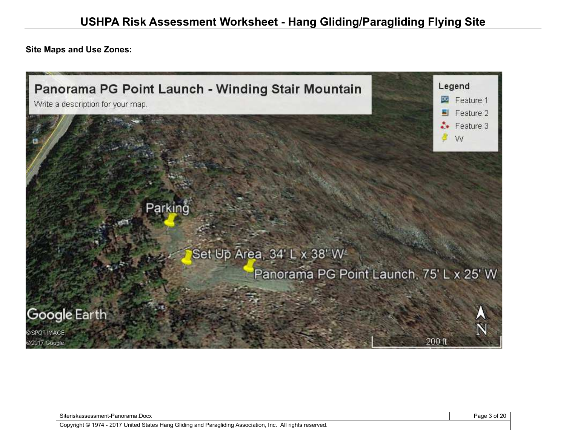**Site Maps and Use Zones:** 



Siteriskassessment-Panorama.Docx Page 3 of 20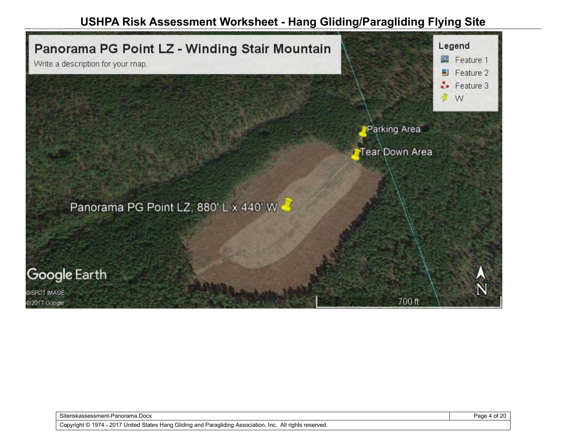

Siteriskassessment-Panorama.Docx Page 4 of 20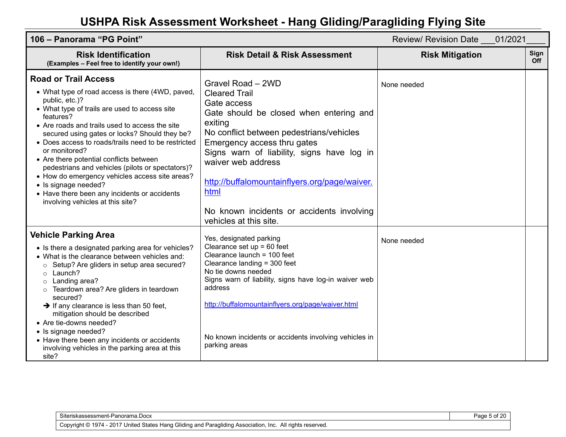| 106 - Panorama "PG Point"                                                                                                                                                                                                                                                                                                                                                                                                                                                                                                                                                                               |                                                                                                                                                                                                                                                                                                                                                                                               | Review/ Revision Date 01/2021 |                    |
|---------------------------------------------------------------------------------------------------------------------------------------------------------------------------------------------------------------------------------------------------------------------------------------------------------------------------------------------------------------------------------------------------------------------------------------------------------------------------------------------------------------------------------------------------------------------------------------------------------|-----------------------------------------------------------------------------------------------------------------------------------------------------------------------------------------------------------------------------------------------------------------------------------------------------------------------------------------------------------------------------------------------|-------------------------------|--------------------|
| <b>Risk Identification</b><br>(Examples - Feel free to identify your own!)                                                                                                                                                                                                                                                                                                                                                                                                                                                                                                                              | <b>Risk Detail &amp; Risk Assessment</b>                                                                                                                                                                                                                                                                                                                                                      | <b>Risk Mitigation</b>        | Sign<br><b>Off</b> |
| <b>Road or Trail Access</b><br>• What type of road access is there (4WD, paved,<br>public, etc.)?<br>• What type of trails are used to access site<br>features?<br>• Are roads and trails used to access the site<br>secured using gates or locks? Should they be?<br>• Does access to roads/trails need to be restricted<br>or monitored?<br>• Are there potential conflicts between<br>pedestrians and vehicles (pilots or spectators)?<br>• How do emergency vehicles access site areas?<br>• Is signage needed?<br>• Have there been any incidents or accidents<br>involving vehicles at this site? | Gravel Road - 2WD<br><b>Cleared Trail</b><br>Gate access<br>Gate should be closed when entering and<br>exiting<br>No conflict between pedestrians/vehicles<br>Emergency access thru gates<br>Signs warn of liability, signs have log in<br>waiver web address<br>http://buffalomountainflyers.org/page/waiver.<br>html<br>No known incidents or accidents involving<br>vehicles at this site. | None needed                   |                    |
| <b>Vehicle Parking Area</b><br>• Is there a designated parking area for vehicles?<br>• What is the clearance between vehicles and:<br>Setup? Are gliders in setup area secured?<br>$\circ$<br>Launch?<br>$\circ$<br>Landing area?<br>$\circ$<br>Teardown area? Are gliders in teardown<br>secured?<br>$\rightarrow$ If any clearance is less than 50 feet,<br>mitigation should be described<br>• Are tie-downs needed?<br>• Is signage needed?<br>• Have there been any incidents or accidents<br>involving vehicles in the parking area at this<br>site?                                              | Yes, designated parking<br>Clearance set $up = 60$ feet<br>Clearance launch = 100 feet<br>Clearance landing = 300 feet<br>No tie downs needed<br>Signs warn of liability, signs have log-in waiver web<br>address<br>http://buffalomountainflyers.org/page/waiver.html<br>No known incidents or accidents involving vehicles in<br>parking areas                                              | None needed                   |                    |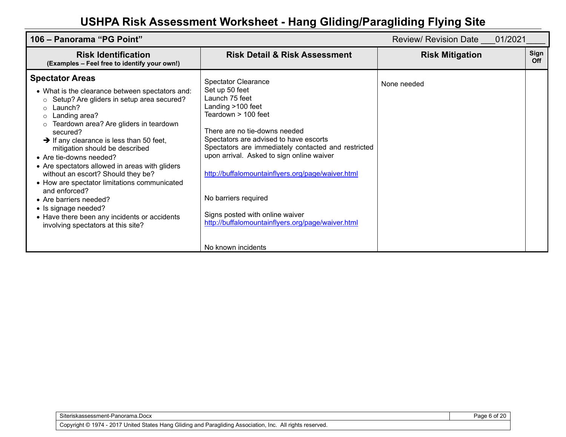| 106 – Panorama "PG Point"                                                                                                                                                                                                                                                                                                                                                                                                                                                                                                                                                                                                                                       |                                                                                                                                                                                                                                                                                                                                                                                                                                                                                      | Review/ Revision Date 01/2021 |             |
|-----------------------------------------------------------------------------------------------------------------------------------------------------------------------------------------------------------------------------------------------------------------------------------------------------------------------------------------------------------------------------------------------------------------------------------------------------------------------------------------------------------------------------------------------------------------------------------------------------------------------------------------------------------------|--------------------------------------------------------------------------------------------------------------------------------------------------------------------------------------------------------------------------------------------------------------------------------------------------------------------------------------------------------------------------------------------------------------------------------------------------------------------------------------|-------------------------------|-------------|
| <b>Risk Identification</b><br>(Examples - Feel free to identify your own!)                                                                                                                                                                                                                                                                                                                                                                                                                                                                                                                                                                                      | <b>Risk Detail &amp; Risk Assessment</b>                                                                                                                                                                                                                                                                                                                                                                                                                                             | <b>Risk Mitigation</b>        | Sign<br>Off |
| <b>Spectator Areas</b><br>• What is the clearance between spectators and:<br>Setup? Are gliders in setup area secured?<br>$\circ$<br>Launch?<br>$\circ$<br>Landing area?<br>$\circ$<br>Teardown area? Are gliders in teardown<br>secured?<br>$\rightarrow$ If any clearance is less than 50 feet,<br>mitigation should be described<br>• Are tie-downs needed?<br>• Are spectators allowed in areas with gliders<br>without an escort? Should they be?<br>• How are spectator limitations communicated<br>and enforced?<br>• Are barriers needed?<br>• Is signage needed?<br>• Have there been any incidents or accidents<br>involving spectators at this site? | <b>Spectator Clearance</b><br>Set up 50 feet<br>Launch 75 feet<br>Landing >100 feet<br>Teardown > 100 feet<br>There are no tie-downs needed<br>Spectators are advised to have escorts<br>Spectators are immediately contacted and restricted<br>upon arrival. Asked to sign online waiver<br>http://buffalomountainflyers.org/page/waiver.html<br>No barriers required<br>Signs posted with online waiver<br>http://buffalomountainflyers.org/page/waiver.html<br>No known incidents | None needed                   |             |

Page 6 of 20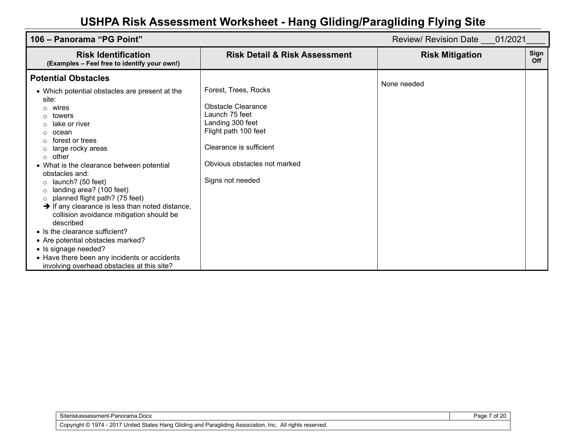| 106 – Panorama "PG Point"                                                                                                                                                                                                                                                                                                                                                                                                                                                                              |                                                                                                                                                                                         | Review/ Revision Date 01/2021 |                    |
|--------------------------------------------------------------------------------------------------------------------------------------------------------------------------------------------------------------------------------------------------------------------------------------------------------------------------------------------------------------------------------------------------------------------------------------------------------------------------------------------------------|-----------------------------------------------------------------------------------------------------------------------------------------------------------------------------------------|-------------------------------|--------------------|
| <b>Risk Identification</b><br>(Examples - Feel free to identify your own!)                                                                                                                                                                                                                                                                                                                                                                                                                             | <b>Risk Detail &amp; Risk Assessment</b>                                                                                                                                                | <b>Risk Mitigation</b>        | Sign<br><b>Off</b> |
| <b>Potential Obstacles</b><br>• Which potential obstacles are present at the<br>site:<br>wires<br>towers<br>lake or river<br>ocean<br>forest or trees<br>large rocky areas<br>other<br>$\Omega$<br>• What is the clearance between potential<br>obstacles and:<br>launch? (50 feet)<br>$\Omega$<br>landing area? (100 feet)<br>Ω<br>planned flight path? (75 feet)<br>$\Omega$<br>$\rightarrow$ If any clearance is less than noted distance,<br>collision avoidance mitigation should be<br>described | Forest, Trees, Rocks<br>Obstacle Clearance<br>Launch 75 feet<br>Landing 300 feet<br>Flight path 100 feet<br>Clearance is sufficient<br>Obvious obstacles not marked<br>Signs not needed | None needed                   |                    |
| • Is the clearance sufficient?<br>• Are potential obstacles marked?<br>• Is signage needed?<br>• Have there been any incidents or accidents<br>involving overhead obstacles at this site?                                                                                                                                                                                                                                                                                                              |                                                                                                                                                                                         |                               |                    |

Page 7 of 20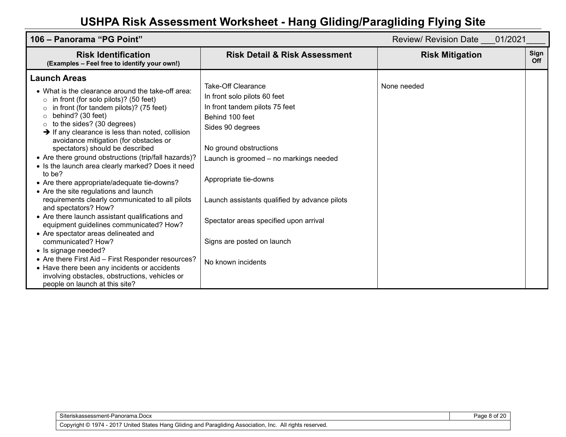| 106 – Panorama "PG Point"                                                                                                                                                                                                                                                                                                                                                                                                                                                                                                                                                                                                                                                                                                                                                                                                                                                                                                                                                                                                                                  |                                                                                                                                                                                                                                                                                                                                                                         | Review/ Revision Date ___ 01/2021 |                    |
|------------------------------------------------------------------------------------------------------------------------------------------------------------------------------------------------------------------------------------------------------------------------------------------------------------------------------------------------------------------------------------------------------------------------------------------------------------------------------------------------------------------------------------------------------------------------------------------------------------------------------------------------------------------------------------------------------------------------------------------------------------------------------------------------------------------------------------------------------------------------------------------------------------------------------------------------------------------------------------------------------------------------------------------------------------|-------------------------------------------------------------------------------------------------------------------------------------------------------------------------------------------------------------------------------------------------------------------------------------------------------------------------------------------------------------------------|-----------------------------------|--------------------|
| <b>Risk Identification</b><br>(Examples - Feel free to identify your own!)                                                                                                                                                                                                                                                                                                                                                                                                                                                                                                                                                                                                                                                                                                                                                                                                                                                                                                                                                                                 | <b>Risk Detail &amp; Risk Assessment</b>                                                                                                                                                                                                                                                                                                                                | <b>Risk Mitigation</b>            | Sign<br><b>Off</b> |
| <b>Launch Areas</b><br>• What is the clearance around the take-off area:<br>in front (for solo pilots)? (50 feet)<br>$\circ$<br>in front (for tandem pilots)? (75 feet)<br>$\circ$<br>behind? (30 feet)<br>to the sides? (30 degrees)<br>$\rightarrow$ If any clearance is less than noted, collision<br>avoidance mitigation (for obstacles or<br>spectators) should be described<br>• Are there ground obstructions (trip/fall hazards)?<br>• Is the launch area clearly marked? Does it need<br>to be?<br>• Are there appropriate/adequate tie-downs?<br>• Are the site regulations and launch<br>requirements clearly communicated to all pilots<br>and spectators? How?<br>• Are there launch assistant qualifications and<br>equipment guidelines communicated? How?<br>• Are spectator areas delineated and<br>communicated? How?<br>• Is signage needed?<br>• Are there First Aid - First Responder resources?<br>• Have there been any incidents or accidents<br>involving obstacles, obstructions, vehicles or<br>people on launch at this site? | Take-Off Clearance<br>In front solo pilots 60 feet<br>In front tandem pilots 75 feet<br>Behind 100 feet<br>Sides 90 degrees<br>No ground obstructions<br>Launch is groomed - no markings needed<br>Appropriate tie-downs<br>Launch assistants qualified by advance pilots<br>Spectator areas specified upon arrival<br>Signs are posted on launch<br>No known incidents | None needed                       |                    |

Siteriskassessment-Panorama.Docx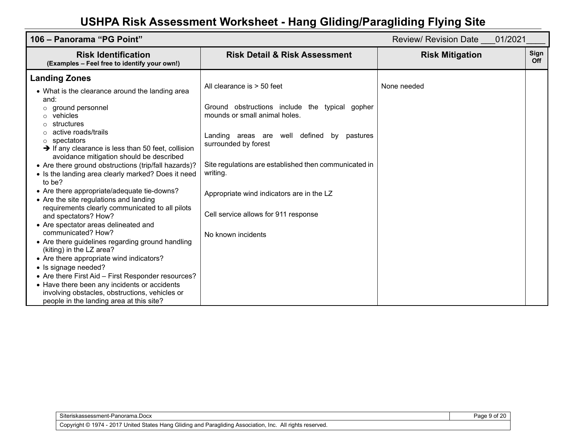| 106 – Panorama "PG Point"                                                                                                                                                                                                                                                                                                                                                                                                                                                                                                                                                                                                                                                                                                                                                                                                                                                                                                                                                                                                |                                                                                                                                                                                                                                                                                                                                                                             | Review/ Revision Date 01/2021 |                    |
|--------------------------------------------------------------------------------------------------------------------------------------------------------------------------------------------------------------------------------------------------------------------------------------------------------------------------------------------------------------------------------------------------------------------------------------------------------------------------------------------------------------------------------------------------------------------------------------------------------------------------------------------------------------------------------------------------------------------------------------------------------------------------------------------------------------------------------------------------------------------------------------------------------------------------------------------------------------------------------------------------------------------------|-----------------------------------------------------------------------------------------------------------------------------------------------------------------------------------------------------------------------------------------------------------------------------------------------------------------------------------------------------------------------------|-------------------------------|--------------------|
| <b>Risk Identification</b><br>(Examples - Feel free to identify your own!)                                                                                                                                                                                                                                                                                                                                                                                                                                                                                                                                                                                                                                                                                                                                                                                                                                                                                                                                               | <b>Risk Detail &amp; Risk Assessment</b>                                                                                                                                                                                                                                                                                                                                    | <b>Risk Mitigation</b>        | Sign<br><b>Off</b> |
| <b>Landing Zones</b><br>• What is the clearance around the landing area<br>and:<br>ground personnel<br>vehicles<br>$\circ$<br>structures<br>active roads/trails<br>spectators<br>$\circ$<br>$\rightarrow$ If any clearance is less than 50 feet, collision<br>avoidance mitigation should be described<br>• Are there ground obstructions (trip/fall hazards)?<br>• Is the landing area clearly marked? Does it need<br>to be?<br>• Are there appropriate/adequate tie-downs?<br>• Are the site regulations and landing<br>requirements clearly communicated to all pilots<br>and spectators? How?<br>• Are spectator areas delineated and<br>communicated? How?<br>• Are there guidelines regarding ground handling<br>(kiting) in the LZ area?<br>• Are there appropriate wind indicators?<br>• Is signage needed?<br>• Are there First Aid – First Responder resources?<br>• Have there been any incidents or accidents<br>involving obstacles, obstructions, vehicles or<br>people in the landing area at this site? | All clearance is $>$ 50 feet<br>Ground obstructions include the typical gopher<br>mounds or small animal holes.<br>Landing areas are well defined<br>bv<br>pastures<br>surrounded by forest<br>Site regulations are established then communicated in<br>writing.<br>Appropriate wind indicators are in the LZ<br>Cell service allows for 911 response<br>No known incidents | None needed                   |                    |

Siteriskassessment-Panorama.Docx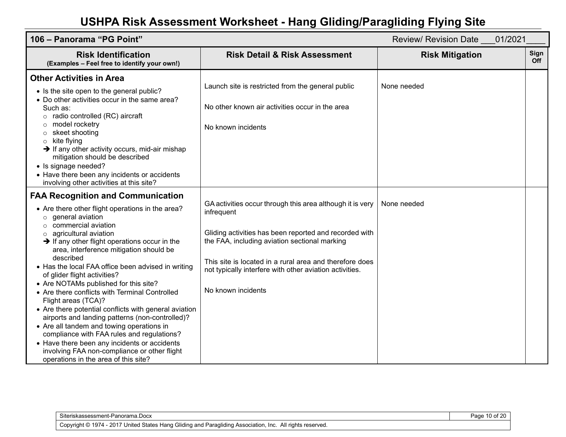| 106 - Panorama "PG Point"                                                                                                                                                                                                                                                                                                                                                                                                                                                                                                                                                                                                                                                                                                                                                                                                                                            |                                                                                                                                                                                                                                                                                                                                | Review/ Revision Date 01/2021 |             |
|----------------------------------------------------------------------------------------------------------------------------------------------------------------------------------------------------------------------------------------------------------------------------------------------------------------------------------------------------------------------------------------------------------------------------------------------------------------------------------------------------------------------------------------------------------------------------------------------------------------------------------------------------------------------------------------------------------------------------------------------------------------------------------------------------------------------------------------------------------------------|--------------------------------------------------------------------------------------------------------------------------------------------------------------------------------------------------------------------------------------------------------------------------------------------------------------------------------|-------------------------------|-------------|
| <b>Risk Identification</b><br>(Examples - Feel free to identify your own!)                                                                                                                                                                                                                                                                                                                                                                                                                                                                                                                                                                                                                                                                                                                                                                                           | <b>Risk Detail &amp; Risk Assessment</b>                                                                                                                                                                                                                                                                                       | <b>Risk Mitigation</b>        | Sign<br>Off |
| <b>Other Activities in Area</b><br>• Is the site open to the general public?<br>• Do other activities occur in the same area?<br>Such as:<br>$\circ$ radio controlled (RC) aircraft<br>model rocketry<br>$\circ$<br>$\circ$ skeet shooting<br>$\circ$ kite flying<br>$\rightarrow$ If any other activity occurs, mid-air mishap<br>mitigation should be described<br>• Is signage needed?<br>• Have there been any incidents or accidents<br>involving other activities at this site?                                                                                                                                                                                                                                                                                                                                                                                | Launch site is restricted from the general public<br>No other known air activities occur in the area<br>No known incidents                                                                                                                                                                                                     | None needed                   |             |
| <b>FAA Recognition and Communication</b><br>• Are there other flight operations in the area?<br>$\circ$ general aviation<br>$\circ$ commercial aviation<br>$\circ$ agricultural aviation<br>$\rightarrow$ If any other flight operations occur in the<br>area, interference mitigation should be<br>described<br>• Has the local FAA office been advised in writing<br>of glider flight activities?<br>• Are NOTAMs published for this site?<br>• Are there conflicts with Terminal Controlled<br>Flight areas (TCA)?<br>• Are there potential conflicts with general aviation<br>airports and landing patterns (non-controlled)?<br>• Are all tandem and towing operations in<br>compliance with FAA rules and regulations?<br>• Have there been any incidents or accidents<br>involving FAA non-compliance or other flight<br>operations in the area of this site? | GA activities occur through this area although it is very<br>infrequent<br>Gliding activities has been reported and recorded with<br>the FAA, including aviation sectional marking<br>This site is located in a rural area and therefore does<br>not typically interfere with other aviation activities.<br>No known incidents | None needed                   |             |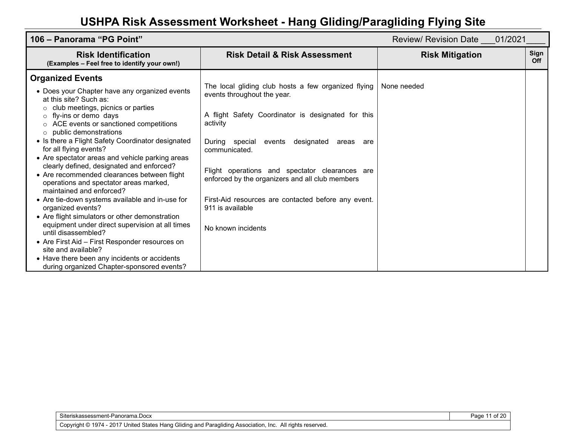| 106 - Panorama "PG Point"                                                                                                                                                                                                                                                                                                                                                                                                                                                                                                                                                                                                                                                                                                                                                                                                                                                                                                                        |                                                                                                                                                                                                                                                                                                                                                                                                                                 | Review/ Revision Date ___ 01/2021 |                    |
|--------------------------------------------------------------------------------------------------------------------------------------------------------------------------------------------------------------------------------------------------------------------------------------------------------------------------------------------------------------------------------------------------------------------------------------------------------------------------------------------------------------------------------------------------------------------------------------------------------------------------------------------------------------------------------------------------------------------------------------------------------------------------------------------------------------------------------------------------------------------------------------------------------------------------------------------------|---------------------------------------------------------------------------------------------------------------------------------------------------------------------------------------------------------------------------------------------------------------------------------------------------------------------------------------------------------------------------------------------------------------------------------|-----------------------------------|--------------------|
| <b>Risk Identification</b><br>(Examples - Feel free to identify your own!)                                                                                                                                                                                                                                                                                                                                                                                                                                                                                                                                                                                                                                                                                                                                                                                                                                                                       | <b>Risk Detail &amp; Risk Assessment</b>                                                                                                                                                                                                                                                                                                                                                                                        | <b>Risk Mitigation</b>            | Sign<br><b>Off</b> |
| <b>Organized Events</b><br>• Does your Chapter have any organized events<br>at this site? Such as:<br>club meetings, picnics or parties<br>O<br>$\circ$ fly-ins or demo days<br>$\circ$ ACE events or sanctioned competitions<br>public demonstrations<br>$\circ$<br>• Is there a Flight Safety Coordinator designated<br>for all flying events?<br>• Are spectator areas and vehicle parking areas<br>clearly defined, designated and enforced?<br>• Are recommended clearances between flight<br>operations and spectator areas marked,<br>maintained and enforced?<br>• Are tie-down systems available and in-use for<br>organized events?<br>• Are flight simulators or other demonstration<br>equipment under direct supervision at all times<br>until disassembled?<br>• Are First Aid - First Responder resources on<br>site and available?<br>• Have there been any incidents or accidents<br>during organized Chapter-sponsored events? | The local gliding club hosts a few organized flying<br>events throughout the year.<br>A flight Safety Coordinator is designated for this<br>activity<br>During special events<br>designated<br>areas are<br>communicated.<br>Flight operations and spectator clearances are<br>enforced by the organizers and all club members<br>First-Aid resources are contacted before any event.<br>911 is available<br>No known incidents | None needed                       |                    |

Page 11 of 20

Copyright © 1974 - 2017 United States Hang Gliding and Paragliding Association, Inc. All rights reserved.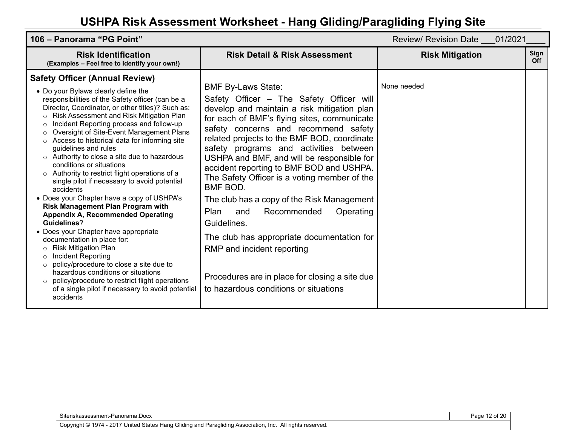| 106 – Panorama "PG Point"                                                                                                                                                                                                                                                                                                                                                                                                                                                                                                                                                                                                                                                                                                                                                                                                                                                                                                                                                                                                                                                                                                                                                                        |                                                                                                                                                                                                                                                                                                                                                                                                                                                                                                                                                                                                                                                                                                                                           | 01/2021<br><b>Review/ Revision Date</b> |             |
|--------------------------------------------------------------------------------------------------------------------------------------------------------------------------------------------------------------------------------------------------------------------------------------------------------------------------------------------------------------------------------------------------------------------------------------------------------------------------------------------------------------------------------------------------------------------------------------------------------------------------------------------------------------------------------------------------------------------------------------------------------------------------------------------------------------------------------------------------------------------------------------------------------------------------------------------------------------------------------------------------------------------------------------------------------------------------------------------------------------------------------------------------------------------------------------------------|-------------------------------------------------------------------------------------------------------------------------------------------------------------------------------------------------------------------------------------------------------------------------------------------------------------------------------------------------------------------------------------------------------------------------------------------------------------------------------------------------------------------------------------------------------------------------------------------------------------------------------------------------------------------------------------------------------------------------------------------|-----------------------------------------|-------------|
| <b>Risk Identification</b><br>(Examples - Feel free to identify your own!)                                                                                                                                                                                                                                                                                                                                                                                                                                                                                                                                                                                                                                                                                                                                                                                                                                                                                                                                                                                                                                                                                                                       | <b>Risk Detail &amp; Risk Assessment</b>                                                                                                                                                                                                                                                                                                                                                                                                                                                                                                                                                                                                                                                                                                  | <b>Risk Mitigation</b>                  | Sign<br>Off |
| <b>Safety Officer (Annual Review)</b><br>• Do your Bylaws clearly define the<br>responsibilities of the Safety officer (can be a<br>Director, Coordinator, or other titles)? Such as:<br>Risk Assessment and Risk Mitigation Plan<br>$\circ$<br>Incident Reporting process and follow-up<br>$\circ$<br>Oversight of Site-Event Management Plans<br>$\circ$<br>Access to historical data for informing site<br>$\circ$<br>guidelines and rules<br>$\circ$ Authority to close a site due to hazardous<br>conditions or situations<br>Authority to restrict flight operations of a<br>$\circ$<br>single pilot if necessary to avoid potential<br>accidents<br>• Does your Chapter have a copy of USHPA's<br><b>Risk Management Plan Program with</b><br><b>Appendix A, Recommended Operating</b><br>Guidelines?<br>• Does your Chapter have appropriate<br>documentation in place for:<br><b>Risk Mitigation Plan</b><br>$\circ$<br><b>Incident Reporting</b><br>$\circ$<br>policy/procedure to close a site due to<br>$\circ$<br>hazardous conditions or situations<br>policy/procedure to restrict flight operations<br>$\circ$<br>of a single pilot if necessary to avoid potential<br>accidents | <b>BMF By-Laws State:</b><br>Safety Officer – The Safety Officer will<br>develop and maintain a risk mitigation plan<br>for each of BMF's flying sites, communicate<br>safety concerns and recommend safety<br>related projects to the BMF BOD, coordinate<br>safety programs and activities between<br>USHPA and BMF, and will be responsible for<br>accident reporting to BMF BOD and USHPA.<br>The Safety Officer is a voting member of the<br>BMF BOD.<br>The club has a copy of the Risk Management<br>Plan<br>Recommended<br>and<br>Operating<br>Guidelines.<br>The club has appropriate documentation for<br>RMP and incident reporting<br>Procedures are in place for closing a site due<br>to hazardous conditions or situations | None needed                             |             |

Page 12 of 20

Copyright © 1974 - 2017 United States Hang Gliding and Paragliding Association, Inc. All rights reserved.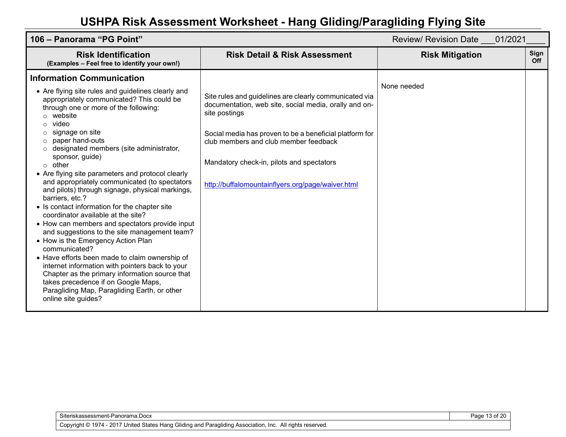| 106 – Panorama "PG Point"                                                                                                                                                                                                                                                                                                                                                                                                                                                                                                                                                                                                                                                                                                                                                                                                                                                                                                                                      |                                                                                                                                                                                                                                                                                                                                        | 01/2021<br><b>Review/ Revision Date</b> |             |
|----------------------------------------------------------------------------------------------------------------------------------------------------------------------------------------------------------------------------------------------------------------------------------------------------------------------------------------------------------------------------------------------------------------------------------------------------------------------------------------------------------------------------------------------------------------------------------------------------------------------------------------------------------------------------------------------------------------------------------------------------------------------------------------------------------------------------------------------------------------------------------------------------------------------------------------------------------------|----------------------------------------------------------------------------------------------------------------------------------------------------------------------------------------------------------------------------------------------------------------------------------------------------------------------------------------|-----------------------------------------|-------------|
| <b>Risk Identification</b><br>(Examples - Feel free to identify your own!)                                                                                                                                                                                                                                                                                                                                                                                                                                                                                                                                                                                                                                                                                                                                                                                                                                                                                     | <b>Risk Detail &amp; Risk Assessment</b>                                                                                                                                                                                                                                                                                               | <b>Risk Mitigation</b>                  | Sign<br>Off |
| <b>Information Communication</b>                                                                                                                                                                                                                                                                                                                                                                                                                                                                                                                                                                                                                                                                                                                                                                                                                                                                                                                               |                                                                                                                                                                                                                                                                                                                                        |                                         |             |
| • Are flying site rules and guidelines clearly and<br>appropriately communicated? This could be<br>through one or more of the following:<br>website<br>video<br>signage on site<br>paper hand-outs<br>designated members (site administrator,<br>sponsor, guide)<br>other<br>$\circ$<br>• Are flying site parameters and protocol clearly<br>and appropriately communicated (to spectators<br>and pilots) through signage, physical markings,<br>barriers, etc.?<br>• Is contact information for the chapter site<br>coordinator available at the site?<br>• How can members and spectators provide input<br>and suggestions to the site management team?<br>• How is the Emergency Action Plan<br>communicated?<br>• Have efforts been made to claim ownership of<br>internet information with pointers back to your<br>Chapter as the primary information source that<br>takes precedence if on Google Maps,<br>Paragliding Map, Paragliding Earth, or other | Site rules and guidelines are clearly communicated via<br>documentation, web site, social media, orally and on-<br>site postings<br>Social media has proven to be a beneficial platform for<br>club members and club member feedback<br>Mandatory check-in, pilots and spectators<br>http://buffalomountainflyers.org/page/waiver.html | None needed                             |             |
| online site guides?                                                                                                                                                                                                                                                                                                                                                                                                                                                                                                                                                                                                                                                                                                                                                                                                                                                                                                                                            |                                                                                                                                                                                                                                                                                                                                        |                                         |             |

Page 13 of 20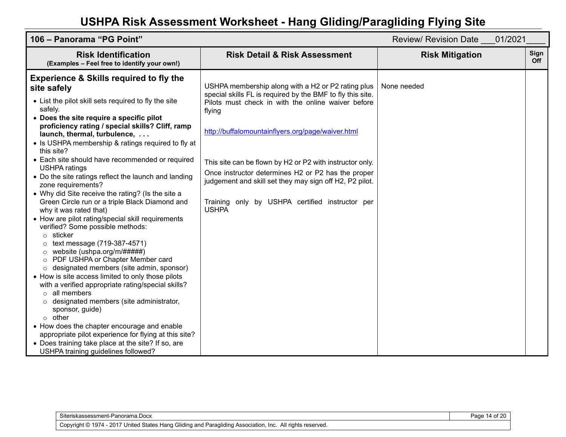| 106 - Panorama "PG Point"                                                                                                                                                                                                                                                                                                                                                                                                                                                                                                                                                                                                                                                                                                                                                                                                                                                                                                                                                                                                                                                                                                                                                                                                                                                                                                                                        |                                                                                                                                                                                                                                                                                                                                                                                                                                                                                       | Review/ Revision Date 01/2021 |             |
|------------------------------------------------------------------------------------------------------------------------------------------------------------------------------------------------------------------------------------------------------------------------------------------------------------------------------------------------------------------------------------------------------------------------------------------------------------------------------------------------------------------------------------------------------------------------------------------------------------------------------------------------------------------------------------------------------------------------------------------------------------------------------------------------------------------------------------------------------------------------------------------------------------------------------------------------------------------------------------------------------------------------------------------------------------------------------------------------------------------------------------------------------------------------------------------------------------------------------------------------------------------------------------------------------------------------------------------------------------------|---------------------------------------------------------------------------------------------------------------------------------------------------------------------------------------------------------------------------------------------------------------------------------------------------------------------------------------------------------------------------------------------------------------------------------------------------------------------------------------|-------------------------------|-------------|
| <b>Risk Identification</b><br>(Examples - Feel free to identify your own!)                                                                                                                                                                                                                                                                                                                                                                                                                                                                                                                                                                                                                                                                                                                                                                                                                                                                                                                                                                                                                                                                                                                                                                                                                                                                                       | <b>Risk Detail &amp; Risk Assessment</b>                                                                                                                                                                                                                                                                                                                                                                                                                                              | <b>Risk Mitigation</b>        | Sign<br>Off |
| <b>Experience &amp; Skills required to fly the</b><br>site safely<br>• List the pilot skill sets required to fly the site<br>safely.<br>• Does the site require a specific pilot<br>proficiency rating / special skills? Cliff, ramp<br>launch, thermal, turbulence,<br>• Is USHPA membership & ratings required to fly at<br>this site?<br>• Each site should have recommended or required<br><b>USHPA ratings</b><br>• Do the site ratings reflect the launch and landing<br>zone requirements?<br>• Why did Site receive the rating? (Is the site a<br>Green Circle run or a triple Black Diamond and<br>why it was rated that)<br>• How are pilot rating/special skill requirements<br>verified? Some possible methods:<br>$\circ$ sticker<br>text message (719-387-4571)<br>$\circ$<br>website (ushpa.org/m/#####)<br>$\circ$<br>PDF USHPA or Chapter Member card<br>$\circ$<br>designated members (site admin, sponsor)<br>$\circ$<br>• How is site access limited to only those pilots<br>with a verified appropriate rating/special skills?<br>$\circ$ all members<br>o designated members (site administrator,<br>sponsor, guide)<br>$\circ$ other<br>• How does the chapter encourage and enable<br>appropriate pilot experience for flying at this site?<br>• Does training take place at the site? If so, are<br>USHPA training guidelines followed? | USHPA membership along with a H2 or P2 rating plus<br>special skills FL is required by the BMF to fly this site.<br>Pilots must check in with the online waiver before<br>flying<br>http://buffalomountainflyers.org/page/waiver.html<br>This site can be flown by H2 or P2 with instructor only.<br>Once instructor determines H2 or P2 has the proper<br>judgement and skill set they may sign off H2, P2 pilot.<br>Training only by USHPA certified instructor per<br><b>USHPA</b> | None needed                   |             |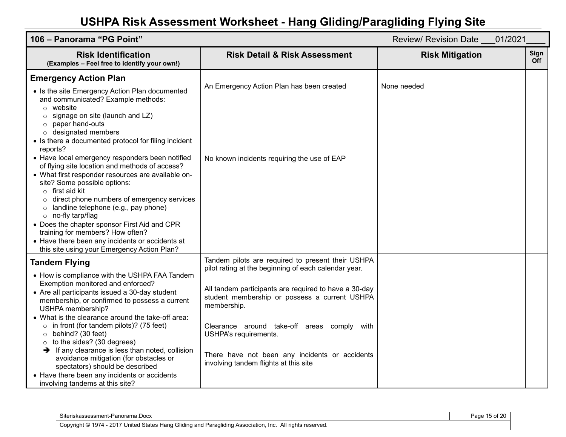| 106 - Panorama "PG Point"<br>Review/ Revision Date 01/2021                                                                                                                                                                                                                                                                                                                                                                                                                                                                                                                                                                                          |                                                                                                                                                                                                                                                                                                                                                                                                       |                        |                    |
|-----------------------------------------------------------------------------------------------------------------------------------------------------------------------------------------------------------------------------------------------------------------------------------------------------------------------------------------------------------------------------------------------------------------------------------------------------------------------------------------------------------------------------------------------------------------------------------------------------------------------------------------------------|-------------------------------------------------------------------------------------------------------------------------------------------------------------------------------------------------------------------------------------------------------------------------------------------------------------------------------------------------------------------------------------------------------|------------------------|--------------------|
| <b>Risk Identification</b><br>(Examples - Feel free to identify your own!)                                                                                                                                                                                                                                                                                                                                                                                                                                                                                                                                                                          | <b>Risk Detail &amp; Risk Assessment</b>                                                                                                                                                                                                                                                                                                                                                              | <b>Risk Mitigation</b> | Sign<br><b>Off</b> |
| <b>Emergency Action Plan</b><br>• Is the site Emergency Action Plan documented<br>and communicated? Example methods:<br>$\circ$ website<br>signage on site (launch and LZ)<br>$\circ$<br>paper hand-outs<br>$\circ$<br>designated members<br>$\circ$<br>• Is there a documented protocol for filing incident<br>reports?                                                                                                                                                                                                                                                                                                                            | An Emergency Action Plan has been created                                                                                                                                                                                                                                                                                                                                                             | None needed            |                    |
| • Have local emergency responders been notified<br>of flying site location and methods of access?<br>• What first responder resources are available on-<br>site? Some possible options:<br>$\circ$ first aid kit<br>direct phone numbers of emergency services<br>landline telephone (e.g., pay phone)<br>$\circ$<br>$\circ$ no-fly tarp/flag<br>• Does the chapter sponsor First Aid and CPR<br>training for members? How often?<br>• Have there been any incidents or accidents at<br>this site using your Emergency Action Plan?                                                                                                                 | No known incidents requiring the use of EAP                                                                                                                                                                                                                                                                                                                                                           |                        |                    |
| <b>Tandem Flying</b><br>• How is compliance with the USHPA FAA Tandem<br>Exemption monitored and enforced?<br>• Are all participants issued a 30-day student<br>membership, or confirmed to possess a current<br>USHPA membership?<br>• What is the clearance around the take-off area:<br>$\circ$ in front (for tandem pilots)? (75 feet)<br>behind? (30 feet)<br>$\circ$<br>to the sides? (30 degrees)<br>$\circ$<br>$\rightarrow$ If any clearance is less than noted, collision<br>avoidance mitigation (for obstacles or<br>spectators) should be described<br>• Have there been any incidents or accidents<br>involving tandems at this site? | Tandem pilots are required to present their USHPA<br>pilot rating at the beginning of each calendar year.<br>All tandem participants are required to have a 30-day<br>student membership or possess a current USHPA<br>membership.<br>Clearance around take-off areas comply with<br>USHPA's requirements.<br>There have not been any incidents or accidents<br>involving tandem flights at this site |                        |                    |

| Siteriskassessment-Panorama.Docx                                                                                  | $\sim$ of $2^{\circ}$ .<br>3000<br>auc |
|-------------------------------------------------------------------------------------------------------------------|----------------------------------------|
| ী 1974 - 2017 United States Hang Gliding and Paragliding Association, Inc.<br>All rights reserved.<br>Copyright © |                                        |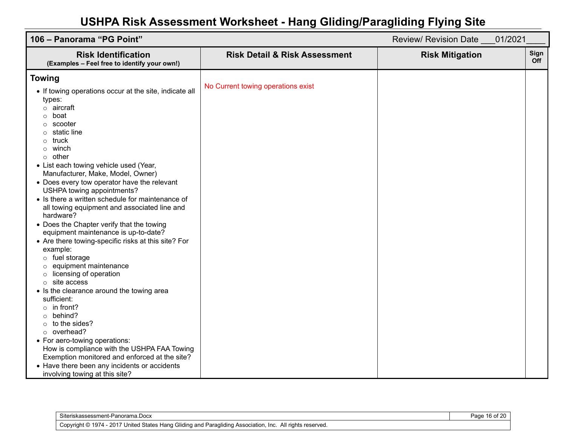| Sign<br><b>Risk Identification</b><br><b>Risk Detail &amp; Risk Assessment</b><br><b>Risk Mitigation</b><br><b>Off</b><br>(Examples - Feel free to identify your own!)<br><b>Towing</b><br>No Current towing operations exist                                                                                                                                                                                                                                                                                                                                                                                                                                                                                                                                                                                                                                                                                                                                                     |
|-----------------------------------------------------------------------------------------------------------------------------------------------------------------------------------------------------------------------------------------------------------------------------------------------------------------------------------------------------------------------------------------------------------------------------------------------------------------------------------------------------------------------------------------------------------------------------------------------------------------------------------------------------------------------------------------------------------------------------------------------------------------------------------------------------------------------------------------------------------------------------------------------------------------------------------------------------------------------------------|
|                                                                                                                                                                                                                                                                                                                                                                                                                                                                                                                                                                                                                                                                                                                                                                                                                                                                                                                                                                                   |
| • If towing operations occur at the site, indicate all<br>types:<br>$\circ$ aircraft<br>boat<br>scooter<br>static line<br>truck<br>$\circ$<br>winch<br>other<br>$\circ$<br>• List each towing vehicle used (Year,<br>Manufacturer, Make, Model, Owner)<br>• Does every tow operator have the relevant<br>USHPA towing appointments?<br>• Is there a written schedule for maintenance of<br>all towing equipment and associated line and<br>hardware?<br>• Does the Chapter verify that the towing<br>equipment maintenance is up-to-date?<br>• Are there towing-specific risks at this site? For<br>example:<br>o fuel storage<br>equipment maintenance<br>licensing of operation<br>site access<br>• Is the clearance around the towing area<br>sufficient:<br>$\circ$ in front?<br>behind?<br>to the sides?<br>$\circ$<br>overhead?<br>$\circ$<br>• For aero-towing operations:<br>How is compliance with the USHPA FAA Towing<br>Exemption monitored and enforced at the site? |

| Siteriskassessment-Panorama.Docx                                                                               | Page 16 of 20 |
|----------------------------------------------------------------------------------------------------------------|---------------|
| Copyright © 1974 - 2017 United States Hang Gliding and Paragliding Association, Inc. ,<br>All rights reserved. |               |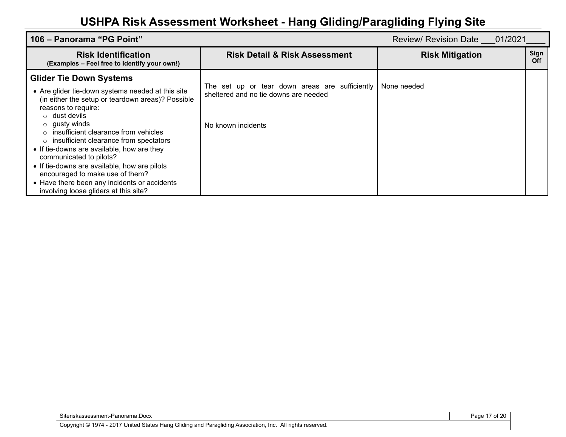| 106 – Panorama "PG Point"<br>Review/ Revision Date 01/2021                                                                                                                                                                                                                                                                                                                                                                                                                                                                                                              |                                                                                                               |                        |             |
|-------------------------------------------------------------------------------------------------------------------------------------------------------------------------------------------------------------------------------------------------------------------------------------------------------------------------------------------------------------------------------------------------------------------------------------------------------------------------------------------------------------------------------------------------------------------------|---------------------------------------------------------------------------------------------------------------|------------------------|-------------|
| <b>Risk Identification</b><br>(Examples - Feel free to identify your own!)                                                                                                                                                                                                                                                                                                                                                                                                                                                                                              | <b>Risk Detail &amp; Risk Assessment</b>                                                                      | <b>Risk Mitigation</b> | Sign<br>Off |
| <b>Glider Tie Down Systems</b><br>• Are glider tie-down systems needed at this site<br>(in either the setup or teardown areas)? Possible<br>reasons to require:<br>$\circ$ dust devils<br>$\circ$ gusty winds<br>insufficient clearance from vehicles<br>$\bigcirc$<br>insufficient clearance from spectators<br>O<br>• If tie-downs are available, how are they<br>communicated to pilots?<br>• If tie-downs are available, how are pilots<br>encouraged to make use of them?<br>• Have there been any incidents or accidents<br>involving loose gliders at this site? | The set up or tear down areas are sufficiently<br>sheltered and no tie downs are needed<br>No known incidents | None needed            |             |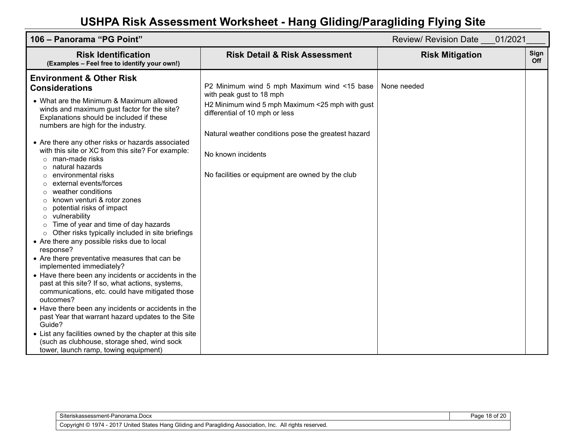| 106 - Panorama "PG Point"<br>Review/ Revision Date 01/2021                                                                                                                                                                                                                                                                                                                                                                                                                                                                                                                                                                                                                                                                                                                                                                                                                                                                                                                                                                                                                                                                                                                                                                                                             |                                                                                                                                                                                                                                                                                               |                        |                    |
|------------------------------------------------------------------------------------------------------------------------------------------------------------------------------------------------------------------------------------------------------------------------------------------------------------------------------------------------------------------------------------------------------------------------------------------------------------------------------------------------------------------------------------------------------------------------------------------------------------------------------------------------------------------------------------------------------------------------------------------------------------------------------------------------------------------------------------------------------------------------------------------------------------------------------------------------------------------------------------------------------------------------------------------------------------------------------------------------------------------------------------------------------------------------------------------------------------------------------------------------------------------------|-----------------------------------------------------------------------------------------------------------------------------------------------------------------------------------------------------------------------------------------------------------------------------------------------|------------------------|--------------------|
| <b>Risk Identification</b><br>(Examples - Feel free to identify your own!)                                                                                                                                                                                                                                                                                                                                                                                                                                                                                                                                                                                                                                                                                                                                                                                                                                                                                                                                                                                                                                                                                                                                                                                             | <b>Risk Detail &amp; Risk Assessment</b>                                                                                                                                                                                                                                                      | <b>Risk Mitigation</b> | Sign<br><b>Off</b> |
| <b>Environment &amp; Other Risk</b><br><b>Considerations</b><br>• What are the Minimum & Maximum allowed<br>winds and maximum gust factor for the site?<br>Explanations should be included if these<br>numbers are high for the industry.<br>• Are there any other risks or hazards associated<br>with this site or XC from this site? For example:<br>man-made risks<br>$\circ$<br>natural hazards<br>environmental risks<br>external events/forces<br>weather conditions<br>known venturi & rotor zones<br>potential risks of impact<br>$\circ$<br>vulnerability<br>Time of year and time of day hazards<br>Other risks typically included in site briefings<br>$\circ$<br>• Are there any possible risks due to local<br>response?<br>• Are there preventative measures that can be<br>implemented immediately?<br>• Have there been any incidents or accidents in the<br>past at this site? If so, what actions, systems,<br>communications, etc. could have mitigated those<br>outcomes?<br>• Have there been any incidents or accidents in the<br>past Year that warrant hazard updates to the Site<br>Guide?<br>• List any facilities owned by the chapter at this site<br>(such as clubhouse, storage shed, wind sock<br>tower, launch ramp, towing equipment) | P2 Minimum wind 5 mph Maximum wind <15 base<br>with peak gust to 18 mph<br>H2 Minimum wind 5 mph Maximum <25 mph with gust<br>differential of 10 mph or less<br>Natural weather conditions pose the greatest hazard<br>No known incidents<br>No facilities or equipment are owned by the club | None needed            |                    |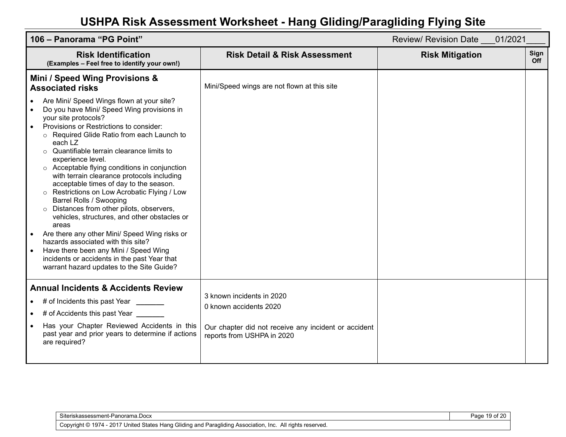| 106 - Panorama "PG Point"                                                                                                                                                                                                                                                                                                                                                                                                                                                                                                                                                                                                                                                                                                                                                                                                                                       |                                                                                                                                           | Review/ Revision Date 01/2021 |             |
|-----------------------------------------------------------------------------------------------------------------------------------------------------------------------------------------------------------------------------------------------------------------------------------------------------------------------------------------------------------------------------------------------------------------------------------------------------------------------------------------------------------------------------------------------------------------------------------------------------------------------------------------------------------------------------------------------------------------------------------------------------------------------------------------------------------------------------------------------------------------|-------------------------------------------------------------------------------------------------------------------------------------------|-------------------------------|-------------|
| <b>Risk Identification</b><br>(Examples - Feel free to identify your own!)                                                                                                                                                                                                                                                                                                                                                                                                                                                                                                                                                                                                                                                                                                                                                                                      | <b>Risk Detail &amp; Risk Assessment</b>                                                                                                  | <b>Risk Mitigation</b>        | Sign<br>Off |
| Mini / Speed Wing Provisions &<br><b>Associated risks</b>                                                                                                                                                                                                                                                                                                                                                                                                                                                                                                                                                                                                                                                                                                                                                                                                       | Mini/Speed wings are not flown at this site                                                                                               |                               |             |
| Are Mini/ Speed Wings flown at your site?<br>Do you have Mini/ Speed Wing provisions in<br>$\bullet$<br>your site protocols?<br>Provisions or Restrictions to consider:<br>$\bullet$<br>Required Glide Ratio from each Launch to<br>each LZ<br>Quantifiable terrain clearance limits to<br>experience level.<br>○ Acceptable flying conditions in conjunction<br>with terrain clearance protocols including<br>acceptable times of day to the season.<br>Restrictions on Low Acrobatic Flying / Low<br>Barrel Rolls / Swooping<br>Distances from other pilots, observers,<br>vehicles, structures, and other obstacles or<br>areas<br>Are there any other Mini/ Speed Wing risks or<br>hazards associated with this site?<br>Have there been any Mini / Speed Wing<br>incidents or accidents in the past Year that<br>warrant hazard updates to the Site Guide? |                                                                                                                                           |                               |             |
| <b>Annual Incidents &amp; Accidents Review</b><br># of Incidents this past Year<br># of Accidents this past Year ______<br>Has your Chapter Reviewed Accidents in this<br>past year and prior years to determine if actions<br>are required?                                                                                                                                                                                                                                                                                                                                                                                                                                                                                                                                                                                                                    | 3 known incidents in 2020<br>0 known accidents 2020<br>Our chapter did not receive any incident or accident<br>reports from USHPA in 2020 |                               |             |